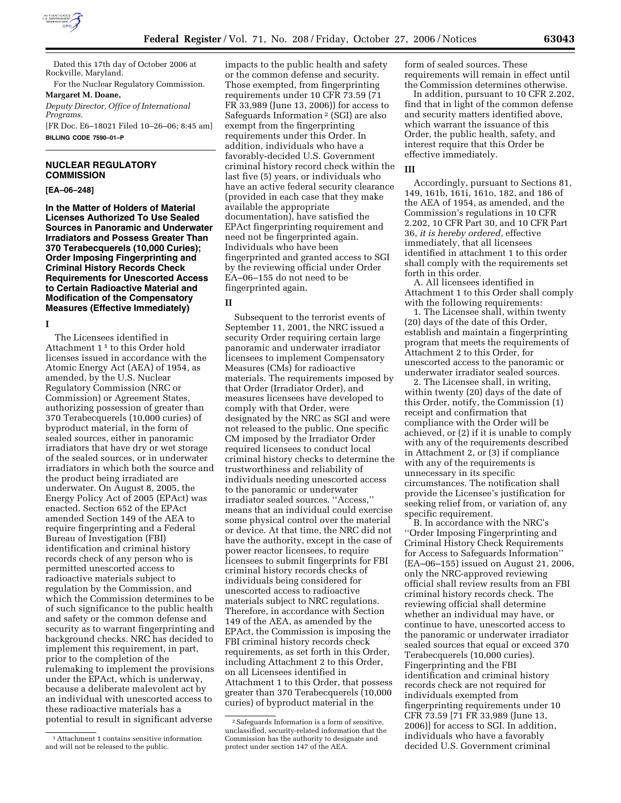

Dated this 17th day of October 2006 at Rockville, Maryland.

For the Nuclear Regulatory Commission.

**Margaret M. Doane,**  *Deputy Director, Office of International Programs.*  [FR Doc. E6–18021 Filed 10–26–06; 8:45 am]

**BILLING CODE 7590–01–P** 

# **NUCLEAR REGULATORY COMMISSION**

# **[EA–06–248]**

**In the Matter of Holders of Material Licenses Authorized To Use Sealed Sources in Panoramic and Underwater Irradiators and Possess Greater Than 370 Terabecquerels (10,000 Curies); Order Imposing Fingerprinting and Criminal History Records Check Requirements for Unescorted Access to Certain Radioactive Material and Modification of the Compensatory Measures (Effective Immediately)** 

**I** 

The Licensees identified in Attachment 1 1 to this Order hold licenses issued in accordance with the Atomic Energy Act (AEA) of 1954, as amended, by the U.S. Nuclear Regulatory Commission (NRC or Commission) or Agreement States, authorizing possession of greater than 370 Terabecquerels (10,000 curies) of byproduct material, in the form of sealed sources, either in panoramic irradiators that have dry or wet storage of the sealed sources, or in underwater irradiators in which both the source and the product being irradiated are underwater. On August 8, 2005, the Energy Policy Act of 2005 (EPAct) was enacted. Section 652 of the EPAct amended Section 149 of the AEA to require fingerprinting and a Federal Bureau of Investigation (FBI) identification and criminal history records check of any person who is permitted unescorted access to radioactive materials subject to regulation by the Commission, and which the Commission determines to be of such significance to the public health and safety or the common defense and security as to warrant fingerprinting and background checks. NRC has decided to implement this requirement, in part, prior to the completion of the rulemaking to implement the provisions under the EPAct, which is underway, because a deliberate malevolent act by an individual with unescorted access to these radioactive materials has a potential to result in significant adverse

impacts to the public health and safety or the common defense and security. Those exempted, from fingerprinting requirements under 10 CFR 73.59 (71 FR 33,989 (June 13, 2006)) for access to Safeguards Information 2 (SGI) are also exempt from the fingerprinting requirements under this Order. In addition, individuals who have a favorably-decided U.S. Government criminal history record check within the last five (5) years, or individuals who have an active federal security clearance (provided in each case that they make available the appropriate documentation), have satisfied the EPAct fingerprinting requirement and need not be fingerprinted again. Individuals who have been fingerprinted and granted access to SGI by the reviewing official under Order EA–06–155 do not need to be fingerprinted again.

#### **II**

Subsequent to the terrorist events of September 11, 2001, the NRC issued a security Order requiring certain large panoramic and underwater irradiator licensees to implement Compensatory Measures (CMs) for radioactive materials. The requirements imposed by that Order (Irradiator Order), and measures licensees have developed to comply with that Order, were designated by the NRC as SGI and were not released to the public. One specific CM imposed by the Irradiator Order required licensees to conduct local criminal history checks to determine the trustworthiness and reliability of individuals needing unescorted access to the panoramic or underwater irradiator sealed sources. ''Access,'' means that an individual could exercise some physical control over the material or device. At that time, the NRC did not have the authority, except in the case of power reactor licensees, to require licensees to submit fingerprints for FBI criminal history records checks of individuals being considered for unescorted access to radioactive materials subject to NRC regulations. Therefore, in accordance with Section 149 of the AEA, as amended by the EPAct, the Commission is imposing the FBI criminal history records check requirements, as set forth in this Order, including Attachment 2 to this Order, on all Licensees identified in Attachment 1 to this Order, that possess greater than 370 Terabecquerels (10,000 curies) of byproduct material in the

form of sealed sources. These requirements will remain in effect until the Commission determines otherwise.

In addition, pursuant to 10 CFR 2.202, find that in light of the common defense and security matters identified above, which warrant the issuance of this Order, the public health, safety, and interest require that this Order be effective immediately.

# **III**

Accordingly, pursuant to Sections 81, 149, 161b, 161i, 161o, 182, and 186 of the AEA of 1954, as amended, and the Commission's regulations in 10 CFR 2.202, 10 CFR Part 30, and 10 CFR Part 36, *it is hereby ordered*, effective immediately, that all licensees identified in attachment 1 to this order shall comply with the requirements set forth in this order.

A. All licensees identified in Attachment 1 to this Order shall comply with the following requirements:

1. The Licensee shall, within twenty (20) days of the date of this Order, establish and maintain a fingerprinting program that meets the requirements of Attachment 2 to this Order, for unescorted access to the panoramic or underwater irradiator sealed sources.

2. The Licensee shall, in writing, within twenty (20) days of the date of this Order, notify, the Commission (1) receipt and confirmation that compliance with the Order will be achieved, or (2) if it is unable to comply with any of the requirements described in Attachment 2, or (3) if compliance with any of the requirements is unnecessary in its specific circumstances. The notification shall provide the Licensee's justification for seeking relief from, or variation of, any specific requirement.

B. In accordance with the NRC's ''Order Imposing Fingerprinting and Criminal History Check Requirements for Access to Safeguards Information'' (EA–06–155) issued on August 21, 2006, only the NRC-approved reviewing official shall review results from an FBI criminal history records check. The reviewing official shall determine whether an individual may have, or continue to have, unescorted access to the panoramic or underwater irradiator sealed sources that equal or exceed 370 Terabecquerels (10,000 curies). Fingerprinting and the FBI identification and criminal history records check are not required for individuals exempted from fingerprinting requirements under 10 CFR 73.59 [71 FR 33,989 (June 13, 2006)] for access to SGI. In addition, individuals who have a favorably decided U.S. Government criminal

<sup>1</sup>Attachment 1 contains sensitive information and will not be released to the public.

<sup>2</sup>Safeguards Information is a form of sensitive, unclassified, security-related information that the Commission has the authority to designate and protect under section 147 of the AEA.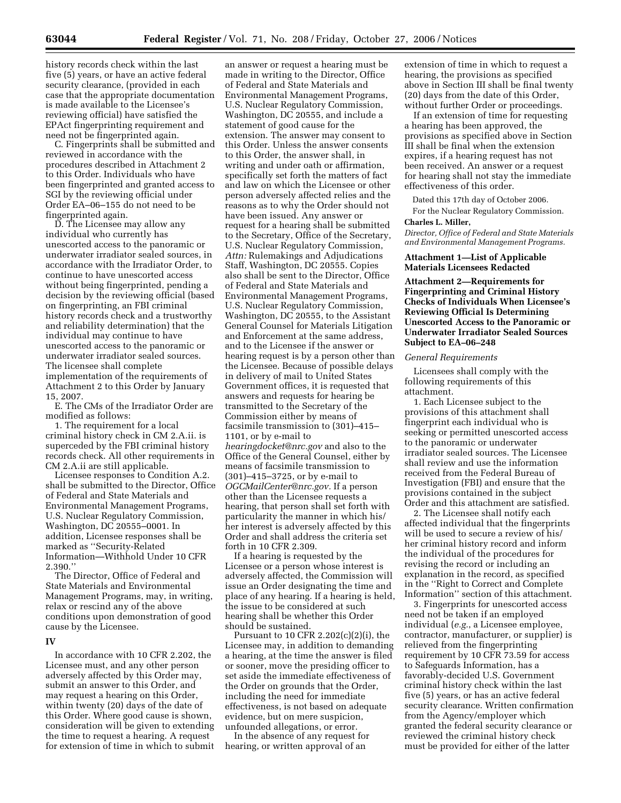history records check within the last five (5) years, or have an active federal security clearance, (provided in each case that the appropriate documentation is made available to the Licensee's reviewing official) have satisfied the EPAct fingerprinting requirement and need not be fingerprinted again.

C. Fingerprints shall be submitted and reviewed in accordance with the procedures described in Attachment 2 to this Order. Individuals who have been fingerprinted and granted access to SGI by the reviewing official under Order EA–06–155 do not need to be fingerprinted again.

D. The Licensee may allow any individual who currently has unescorted access to the panoramic or underwater irradiator sealed sources, in accordance with the Irradiator Order, to continue to have unescorted access without being fingerprinted, pending a decision by the reviewing official (based on fingerprinting, an FBI criminal history records check and a trustworthy and reliability determination) that the individual may continue to have unescorted access to the panoramic or underwater irradiator sealed sources. The licensee shall complete implementation of the requirements of Attachment 2 to this Order by January 15, 2007.

E. The CMs of the Irradiator Order are modified as follows:

1. The requirement for a local criminal history check in CM 2.A.ii. is superceded by the FBI criminal history records check. All other requirements in CM 2.A.ii are still applicable.

Licensee responses to Condition A.2. shall be submitted to the Director, Office of Federal and State Materials and Environmental Management Programs, U.S. Nuclear Regulatory Commission, Washington, DC 20555–0001. In addition, Licensee responses shall be marked as ''Security-Related Information—Withhold Under 10 CFR 2.390.''

The Director, Office of Federal and State Materials and Environmental Management Programs, may, in writing, relax or rescind any of the above conditions upon demonstration of good cause by the Licensee.

### **IV**

In accordance with 10 CFR 2.202, the Licensee must, and any other person adversely affected by this Order may, submit an answer to this Order, and may request a hearing on this Order, within twenty (20) days of the date of this Order. Where good cause is shown, consideration will be given to extending the time to request a hearing. A request for extension of time in which to submit

an answer or request a hearing must be made in writing to the Director, Office of Federal and State Materials and Environmental Management Programs, U.S. Nuclear Regulatory Commission, Washington, DC 20555, and include a statement of good cause for the extension. The answer may consent to this Order. Unless the answer consents to this Order, the answer shall, in writing and under oath or affirmation, specifically set forth the matters of fact and law on which the Licensee or other person adversely affected relies and the reasons as to why the Order should not have been issued. Any answer or request for a hearing shall be submitted to the Secretary, Office of the Secretary, U.S. Nuclear Regulatory Commission, *Attn:* Rulemakings and Adjudications Staff, Washington, DC 20555. Copies also shall be sent to the Director, Office of Federal and State Materials and Environmental Management Programs, U.S. Nuclear Regulatory Commission, Washington, DC 20555, to the Assistant General Counsel for Materials Litigation and Enforcement at the same address, and to the Licensee if the answer or hearing request is by a person other than the Licensee. Because of possible delays in delivery of mail to United States Government offices, it is requested that answers and requests for hearing be transmitted to the Secretary of the Commission either by means of facsimile transmission to (301)–415– 1101, or by e-mail to *hearingdocket@nrc.gov* and also to the Office of the General Counsel, either by means of facsimile transmission to (301)–415–3725, or by e-mail to *OGCMailCenter@nrc.gov.* If a person other than the Licensee requests a

hearing, that person shall set forth with particularity the manner in which his/ her interest is adversely affected by this Order and shall address the criteria set forth in 10 CFR 2.309.

If a hearing is requested by the Licensee or a person whose interest is adversely affected, the Commission will issue an Order designating the time and place of any hearing. If a hearing is held, the issue to be considered at such hearing shall be whether this Order should be sustained.

Pursuant to 10 CFR 2.202 $(c)(2)(i)$ , the Licensee may, in addition to demanding a hearing, at the time the answer is filed or sooner, move the presiding officer to set aside the immediate effectiveness of the Order on grounds that the Order, including the need for immediate effectiveness, is not based on adequate evidence, but on mere suspicion, unfounded allegations, or error.

In the absence of any request for hearing, or written approval of an

extension of time in which to request a hearing, the provisions as specified above in Section III shall be final twenty (20) days from the date of this Order, without further Order or proceedings.

If an extension of time for requesting a hearing has been approved, the provisions as specified above in Section III shall be final when the extension expires, if a hearing request has not been received. An answer or a request for hearing shall not stay the immediate effectiveness of this order.

Dated this 17th day of October 2006.

For the Nuclear Regulatory Commission. **Charles L. Miller,** 

*Director, Office of Federal and State Materials and Environmental Management Programs.* 

## **Attachment 1—List of Applicable Materials Licensees Redacted**

**Attachment 2—Requirements for Fingerprinting and Criminal History Checks of Individuals When Licensee's Reviewing Official Is Determining Unescorted Access to the Panoramic or Underwater Irradiator Sealed Sources Subject to EA–06–248** 

#### *General Requirements*

Licensees shall comply with the following requirements of this attachment.

1. Each Licensee subject to the provisions of this attachment shall fingerprint each individual who is seeking or permitted unescorted access to the panoramic or underwater irradiator sealed sources. The Licensee shall review and use the information received from the Federal Bureau of Investigation (FBI) and ensure that the provisions contained in the subject Order and this attachment are satisfied.

2. The Licensee shall notify each affected individual that the fingerprints will be used to secure a review of his/ her criminal history record and inform the individual of the procedures for revising the record or including an explanation in the record, as specified in the ''Right to Correct and Complete Information'' section of this attachment.

3. Fingerprints for unescorted access need not be taken if an employed individual (*e.g.*, a Licensee employee, contractor, manufacturer, or supplier) is relieved from the fingerprinting requirement by 10 CFR 73.59 for access to Safeguards Information, has a favorably-decided U.S. Government criminal history check within the last five (5) years, or has an active federal security clearance. Written confirmation from the Agency/employer which granted the federal security clearance or reviewed the criminal history check must be provided for either of the latter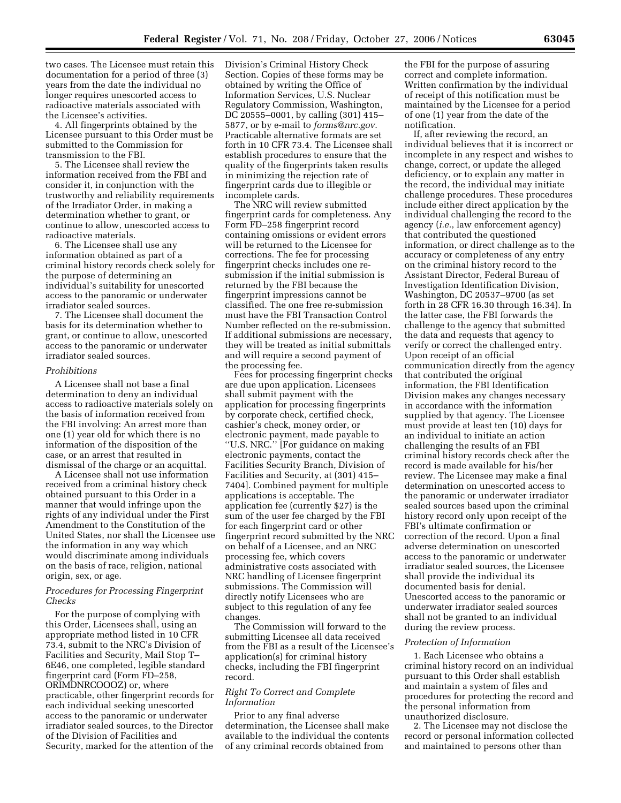two cases. The Licensee must retain this documentation for a period of three (3) years from the date the individual no longer requires unescorted access to radioactive materials associated with the Licensee's activities.

4. All fingerprints obtained by the Licensee pursuant to this Order must be submitted to the Commission for transmission to the FBI.

5. The Licensee shall review the information received from the FBI and consider it, in conjunction with the trustworthy and reliability requirements of the Irradiator Order, in making a determination whether to grant, or continue to allow, unescorted access to radioactive materials.

6. The Licensee shall use any information obtained as part of a criminal history records check solely for the purpose of determining an individual's suitability for unescorted access to the panoramic or underwater irradiator sealed sources.

7. The Licensee shall document the basis for its determination whether to grant, or continue to allow, unescorted access to the panoramic or underwater irradiator sealed sources.

### *Prohibitions*

A Licensee shall not base a final determination to deny an individual access to radioactive materials solely on the basis of information received from the FBI involving: An arrest more than one (1) year old for which there is no information of the disposition of the case, or an arrest that resulted in dismissal of the charge or an acquittal.

A Licensee shall not use information received from a criminal history check obtained pursuant to this Order in a manner that would infringe upon the rights of any individual under the First Amendment to the Constitution of the United States, nor shall the Licensee use the information in any way which would discriminate among individuals on the basis of race, religion, national origin, sex, or age.

## *Procedures for Processing Fingerprint Checks*

For the purpose of complying with this Order, Licensees shall, using an appropriate method listed in 10 CFR 73.4, submit to the NRC's Division of Facilities and Security, Mail Stop T– 6E46, one completed, legible standard fingerprint card (Form FD–258, ORIMDNRCOOOZ) or, where practicable, other fingerprint records for each individual seeking unescorted access to the panoramic or underwater irradiator sealed sources, to the Director of the Division of Facilities and Security, marked for the attention of the Division's Criminal History Check Section. Copies of these forms may be obtained by writing the Office of Information Services, U.S. Nuclear Regulatory Commission, Washington, DC 20555–0001, by calling (301) 415– 5877, or by e-mail to *forms@nrc.gov*. Practicable alternative formats are set forth in 10 CFR 73.4. The Licensee shall establish procedures to ensure that the quality of the fingerprints taken results in minimizing the rejection rate of fingerprint cards due to illegible or incomplete cards.

The NRC will review submitted fingerprint cards for completeness. Any Form FD–258 fingerprint record containing omissions or evident errors will be returned to the Licensee for corrections. The fee for processing fingerprint checks includes one resubmission if the initial submission is returned by the FBI because the fingerprint impressions cannot be classified. The one free re-submission must have the FBI Transaction Control Number reflected on the re-submission. If additional submissions are necessary, they will be treated as initial submittals and will require a second payment of the processing fee.

Fees for processing fingerprint checks are due upon application. Licensees shall submit payment with the application for processing fingerprints by corporate check, certified check, cashier's check, money order, or electronic payment, made payable to ''U.S. NRC.'' [For guidance on making electronic payments, contact the Facilities Security Branch, Division of Facilities and Security, at (301) 415– 7404]. Combined payment for multiple applications is acceptable. The application fee (currently \$27) is the sum of the user fee charged by the FBI for each fingerprint card or other fingerprint record submitted by the NRC on behalf of a Licensee, and an NRC processing fee, which covers administrative costs associated with NRC handling of Licensee fingerprint submissions. The Commission will directly notify Licensees who are subject to this regulation of any fee changes.

The Commission will forward to the submitting Licensee all data received from the FBI as a result of the Licensee's application(s) for criminal history checks, including the FBI fingerprint record.

## *Right To Correct and Complete Information*

Prior to any final adverse determination, the Licensee shall make available to the individual the contents of any criminal records obtained from

the FBI for the purpose of assuring correct and complete information. Written confirmation by the individual of receipt of this notification must be maintained by the Licensee for a period of one (1) year from the date of the notification.

If, after reviewing the record, an individual believes that it is incorrect or incomplete in any respect and wishes to change, correct, or update the alleged deficiency, or to explain any matter in the record, the individual may initiate challenge procedures. These procedures include either direct application by the individual challenging the record to the agency (*i.e.*, law enforcement agency) that contributed the questioned information, or direct challenge as to the accuracy or completeness of any entry on the criminal history record to the Assistant Director, Federal Bureau of Investigation Identification Division, Washington, DC 20537–9700 (as set forth in 28 CFR 16.30 through 16.34). In the latter case, the FBI forwards the challenge to the agency that submitted the data and requests that agency to verify or correct the challenged entry. Upon receipt of an official communication directly from the agency that contributed the original information, the FBI Identification Division makes any changes necessary in accordance with the information supplied by that agency. The Licensee must provide at least ten (10) days for an individual to initiate an action challenging the results of an FBI criminal history records check after the record is made available for his/her review. The Licensee may make a final determination on unescorted access to the panoramic or underwater irradiator sealed sources based upon the criminal history record only upon receipt of the FBI's ultimate confirmation or correction of the record. Upon a final adverse determination on unescorted access to the panoramic or underwater irradiator sealed sources, the Licensee shall provide the individual its documented basis for denial. Unescorted access to the panoramic or underwater irradiator sealed sources shall not be granted to an individual during the review process.

### *Protection of Information*

1. Each Licensee who obtains a criminal history record on an individual pursuant to this Order shall establish and maintain a system of files and procedures for protecting the record and the personal information from unauthorized disclosure.

2. The Licensee may not disclose the record or personal information collected and maintained to persons other than